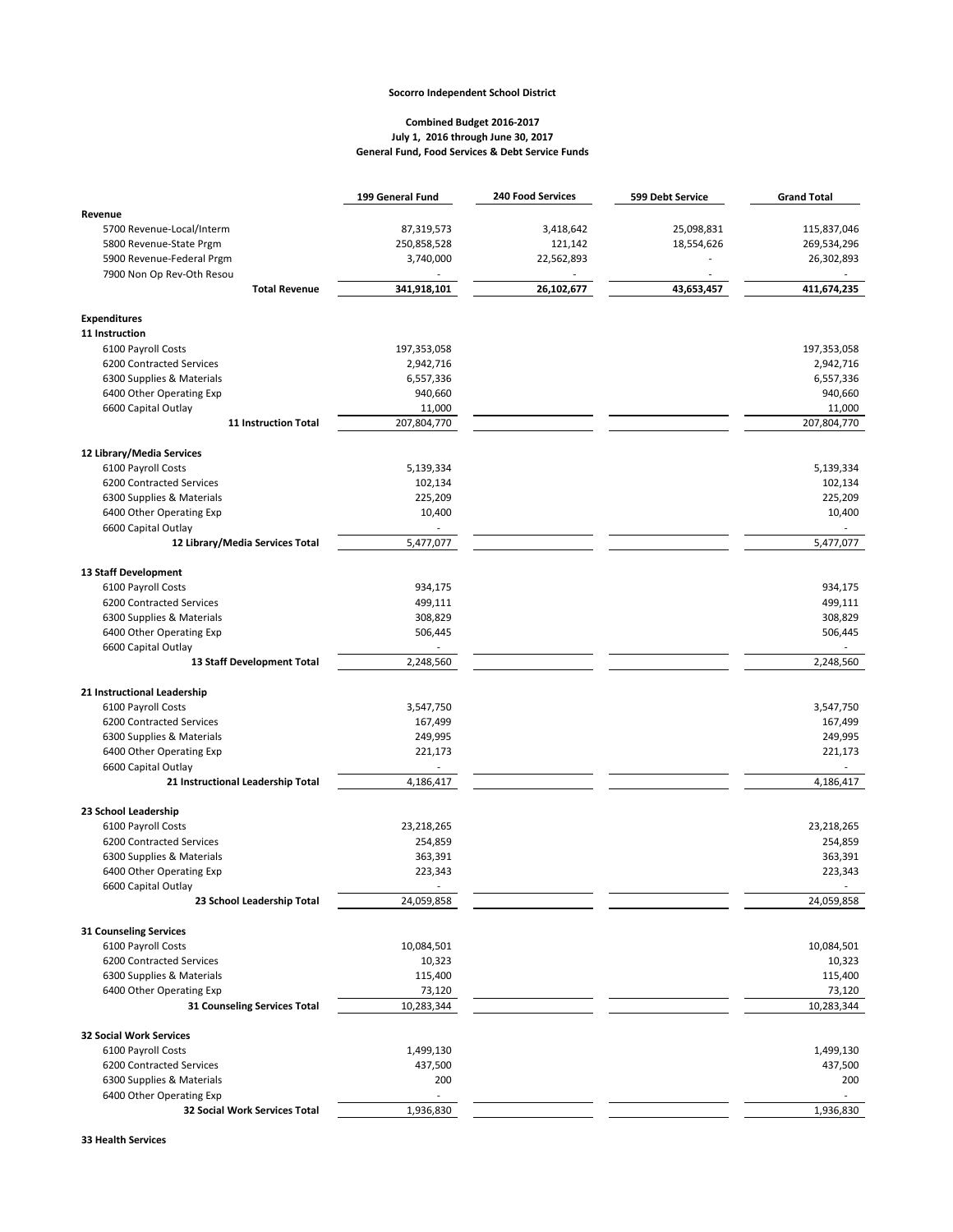## **Socorro Independent School District**

## **Combined Budget 2016-2017 July 1, 2016 through June 30, 2017 General Fund, Food Services & Debt Service Funds**

|                                                           | 199 General Fund                   | <b>240 Food Services</b> | 599 Debt Service | <b>Grand Total</b>                 |
|-----------------------------------------------------------|------------------------------------|--------------------------|------------------|------------------------------------|
| Revenue                                                   |                                    |                          |                  |                                    |
| 5700 Revenue-Local/Interm                                 | 87,319,573                         | 3,418,642                | 25,098,831       | 115,837,046                        |
| 5800 Revenue-State Prgm                                   | 250,858,528                        | 121,142                  | 18,554,626       | 269,534,296                        |
| 5900 Revenue-Federal Prgm                                 | 3,740,000                          | 22,562,893               |                  | 26,302,893                         |
| 7900 Non Op Rev-Oth Resou                                 |                                    |                          |                  |                                    |
| <b>Total Revenue</b>                                      | 341,918,101                        | 26,102,677               | 43,653,457       | 411,674,235                        |
|                                                           |                                    |                          |                  |                                    |
| <b>Expenditures</b>                                       |                                    |                          |                  |                                    |
| 11 Instruction                                            |                                    |                          |                  |                                    |
| 6100 Payroll Costs                                        | 197,353,058                        |                          |                  | 197,353,058                        |
| 6200 Contracted Services                                  | 2,942,716                          |                          |                  | 2,942,716                          |
| 6300 Supplies & Materials<br>6400 Other Operating Exp     | 6,557,336<br>940,660               |                          |                  | 6,557,336<br>940,660               |
| 6600 Capital Outlay                                       | 11,000                             |                          |                  | 11,000                             |
| <b>11 Instruction Total</b>                               | 207,804,770                        |                          |                  | 207,804,770                        |
|                                                           |                                    |                          |                  |                                    |
| 12 Library/Media Services                                 |                                    |                          |                  |                                    |
| 6100 Payroll Costs                                        | 5,139,334                          |                          |                  | 5,139,334                          |
| 6200 Contracted Services                                  | 102,134                            |                          |                  | 102,134                            |
| 6300 Supplies & Materials                                 | 225,209                            |                          |                  | 225,209                            |
| 6400 Other Operating Exp                                  | 10,400<br>$\overline{\phantom{a}}$ |                          |                  | 10,400<br>$\overline{\phantom{a}}$ |
| 6600 Capital Outlay<br>12 Library/Media Services Total    | 5,477,077                          |                          |                  | 5,477,077                          |
|                                                           |                                    |                          |                  |                                    |
| 13 Staff Development                                      |                                    |                          |                  |                                    |
| 6100 Payroll Costs                                        | 934,175                            |                          |                  | 934,175                            |
| 6200 Contracted Services                                  | 499,111                            |                          |                  | 499,111                            |
| 6300 Supplies & Materials                                 | 308,829                            |                          |                  | 308,829                            |
| 6400 Other Operating Exp                                  | 506,445                            |                          |                  | 506,445                            |
| 6600 Capital Outlay                                       |                                    |                          |                  | 2,248,560                          |
| 13 Staff Development Total                                | 2,248,560                          |                          |                  |                                    |
| 21 Instructional Leadership                               |                                    |                          |                  |                                    |
| 6100 Payroll Costs                                        | 3,547,750                          |                          |                  | 3,547,750                          |
| 6200 Contracted Services                                  | 167,499                            |                          |                  | 167,499                            |
| 6300 Supplies & Materials                                 | 249,995                            |                          |                  | 249,995                            |
| 6400 Other Operating Exp                                  | 221,173                            |                          |                  | 221,173                            |
| 6600 Capital Outlay                                       |                                    |                          |                  | ä,                                 |
| 21 Instructional Leadership Total                         | 4,186,417                          |                          |                  | 4,186,417                          |
| 23 School Leadership                                      |                                    |                          |                  |                                    |
| 6100 Payroll Costs                                        | 23,218,265                         |                          |                  | 23,218,265                         |
| 6200 Contracted Services                                  | 254,859                            |                          |                  | 254,859                            |
| 6300 Supplies & Materials                                 | 363,391                            |                          |                  | 363,391                            |
| 6400 Other Operating Exp                                  | 223,343                            |                          |                  | 223,343                            |
| 6600 Capital Outlay                                       |                                    |                          |                  |                                    |
| 23 School Leadership Total                                | 24,059,858                         |                          |                  | 24,059,858                         |
| <b>31 Counseling Services</b>                             |                                    |                          |                  |                                    |
| 6100 Payroll Costs                                        | 10,084,501                         |                          |                  | 10,084,501                         |
| 6200 Contracted Services                                  | 10,323                             |                          |                  | 10,323                             |
| 6300 Supplies & Materials                                 | 115,400                            |                          |                  | 115,400                            |
| 6400 Other Operating Exp                                  | 73,120                             |                          |                  | 73,120                             |
| 31 Counseling Services Total                              | 10,283,344                         |                          |                  | 10,283,344                         |
|                                                           |                                    |                          |                  |                                    |
| <b>32 Social Work Services</b>                            |                                    |                          |                  |                                    |
| 6100 Payroll Costs                                        | 1,499,130                          |                          |                  | 1,499,130                          |
| 6200 Contracted Services<br>6300 Supplies & Materials     | 437,500                            |                          |                  | 437,500                            |
|                                                           | 200<br>$\overline{a}$              |                          |                  | 200                                |
| 6400 Other Operating Exp<br>32 Social Work Services Total | 1,936,830                          |                          |                  | 1,936,830                          |
|                                                           |                                    |                          |                  |                                    |

**33 Health Services**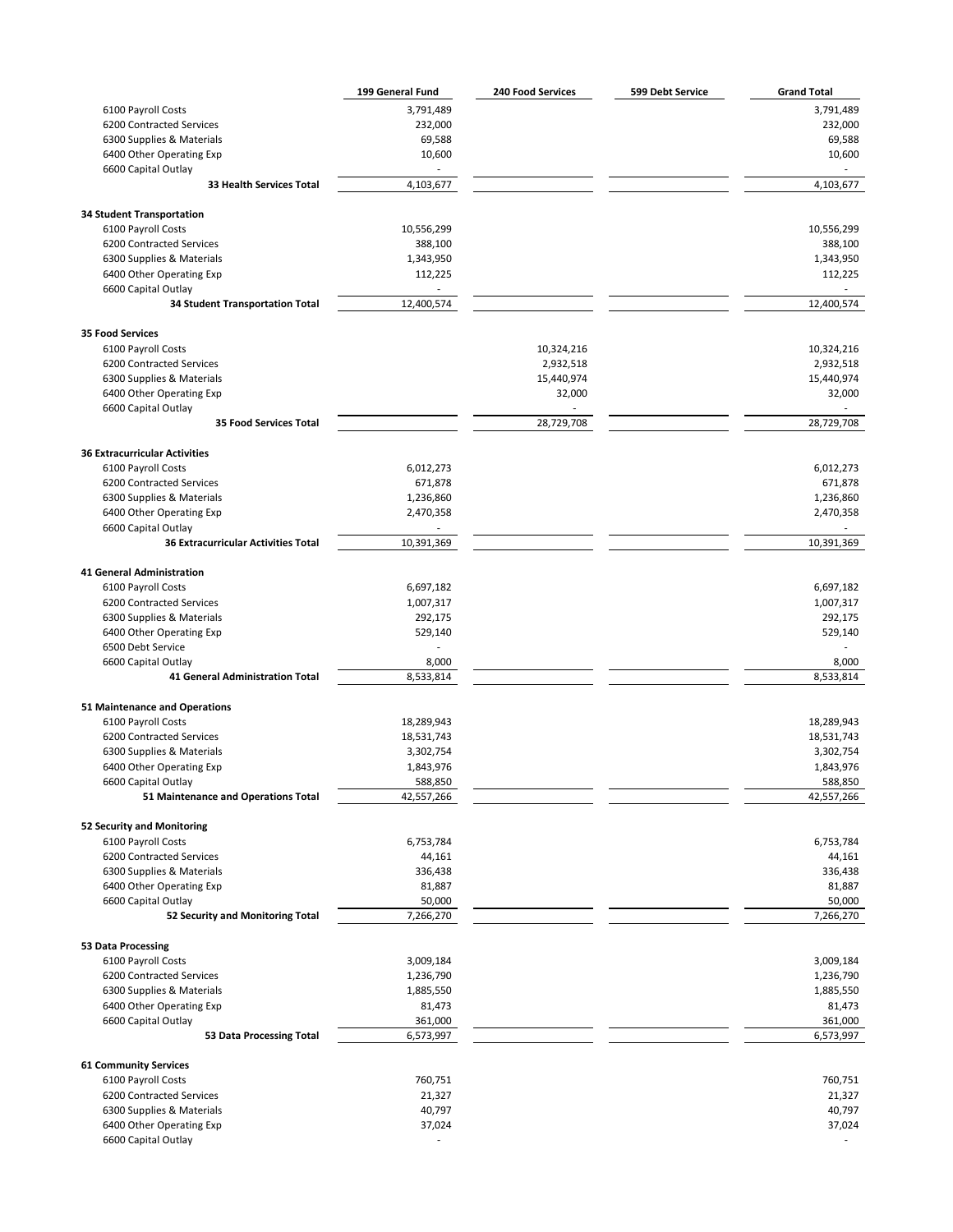|                                                                   | 199 General Fund | <b>240 Food Services</b> | 599 Debt Service | <b>Grand Total</b> |
|-------------------------------------------------------------------|------------------|--------------------------|------------------|--------------------|
| 6100 Payroll Costs                                                | 3,791,489        |                          |                  | 3,791,489          |
| 6200 Contracted Services                                          | 232,000          |                          |                  | 232,000            |
| 6300 Supplies & Materials                                         | 69,588           |                          |                  | 69,588             |
| 6400 Other Operating Exp                                          | 10,600           |                          |                  | 10,600             |
| 6600 Capital Outlay                                               |                  |                          |                  |                    |
| 33 Health Services Total                                          | 4,103,677        |                          |                  | 4,103,677          |
| <b>34 Student Transportation</b>                                  |                  |                          |                  |                    |
| 6100 Payroll Costs                                                | 10,556,299       |                          |                  | 10,556,299         |
| 6200 Contracted Services                                          | 388,100          |                          |                  | 388,100            |
| 6300 Supplies & Materials                                         | 1,343,950        |                          |                  | 1,343,950          |
| 6400 Other Operating Exp                                          | 112,225          |                          |                  | 112,225            |
| 6600 Capital Outlay                                               |                  |                          |                  |                    |
| <b>34 Student Transportation Total</b>                            | 12,400,574       |                          |                  | 12,400,574         |
| <b>35 Food Services</b>                                           |                  |                          |                  |                    |
| 6100 Payroll Costs                                                |                  | 10,324,216               |                  | 10,324,216         |
| 6200 Contracted Services                                          |                  | 2,932,518                |                  | 2,932,518          |
| 6300 Supplies & Materials                                         |                  | 15,440,974               |                  | 15,440,974         |
| 6400 Other Operating Exp                                          |                  | 32,000                   |                  | 32,000             |
| 6600 Capital Outlay                                               |                  |                          |                  |                    |
| <b>35 Food Services Total</b>                                     |                  | 28,729,708               |                  | 28,729,708         |
| <b>36 Extracurricular Activities</b>                              |                  |                          |                  |                    |
| 6100 Payroll Costs                                                | 6,012,273        |                          |                  | 6,012,273          |
|                                                                   | 671,878          |                          |                  | 671,878            |
| 6200 Contracted Services<br>6300 Supplies & Materials             | 1,236,860        |                          |                  | 1,236,860          |
| 6400 Other Operating Exp                                          |                  |                          |                  | 2,470,358          |
|                                                                   | 2,470,358        |                          |                  |                    |
| 6600 Capital Outlay<br><b>36 Extracurricular Activities Total</b> | 10,391,369       |                          |                  | 10,391,369         |
|                                                                   |                  |                          |                  |                    |
| 41 General Administration                                         |                  |                          |                  |                    |
| 6100 Payroll Costs                                                | 6,697,182        |                          |                  | 6,697,182          |
| 6200 Contracted Services                                          | 1,007,317        |                          |                  | 1,007,317          |
| 6300 Supplies & Materials                                         | 292,175          |                          |                  | 292,175            |
| 6400 Other Operating Exp                                          | 529,140          |                          |                  | 529,140            |
| 6500 Debt Service                                                 |                  |                          |                  |                    |
| 6600 Capital Outlay                                               | 8,000            |                          |                  | 8,000              |
| 41 General Administration Total                                   | 8,533,814        |                          |                  | 8,533,814          |
| 51 Maintenance and Operations                                     |                  |                          |                  |                    |
| 6100 Payroll Costs                                                | 18,289,943       |                          |                  | 18,289,943         |
| 6200 Contracted Services                                          | 18,531,743       |                          |                  | 18,531,743         |
| 6300 Supplies & Materials                                         | 3,302,754        |                          |                  | 3,302,754          |
| 6400 Other Operating Exp                                          | 1,843,976        |                          |                  | 1,843,976          |
| 6600 Capital Outlay                                               | 588,850          |                          |                  | 588,850            |
| 51 Maintenance and Operations Total                               | 42,557,266       |                          |                  | 42,557,266         |
| 52 Security and Monitoring                                        |                  |                          |                  |                    |
| 6100 Payroll Costs                                                | 6,753,784        |                          |                  | 6,753,784          |
| 6200 Contracted Services                                          | 44,161           |                          |                  | 44,161             |
| 6300 Supplies & Materials                                         | 336,438          |                          |                  | 336,438            |
| 6400 Other Operating Exp                                          | 81,887           |                          |                  | 81,887             |
| 6600 Capital Outlay                                               | 50,000           |                          |                  | 50,000             |
| 52 Security and Monitoring Total                                  | 7,266,270        |                          |                  | 7,266,270          |
| 53 Data Processing                                                |                  |                          |                  |                    |
| 6100 Payroll Costs                                                | 3,009,184        |                          |                  | 3,009,184          |
| 6200 Contracted Services                                          | 1,236,790        |                          |                  | 1,236,790          |
| 6300 Supplies & Materials                                         | 1,885,550        |                          |                  | 1,885,550          |
| 6400 Other Operating Exp                                          | 81,473           |                          |                  | 81,473             |
| 6600 Capital Outlay                                               | 361,000          |                          |                  | 361,000            |
| 53 Data Processing Total                                          | 6,573,997        |                          |                  | 6,573,997          |
| <b>61 Community Services</b>                                      |                  |                          |                  |                    |
| 6100 Payroll Costs                                                | 760,751          |                          |                  | 760,751            |
| 6200 Contracted Services                                          | 21,327           |                          |                  | 21,327             |
| 6300 Supplies & Materials                                         | 40,797           |                          |                  | 40,797             |
| 6400 Other Operating Exp                                          | 37,024           |                          |                  | 37,024             |
| 6600 Capital Outlay                                               |                  |                          |                  |                    |